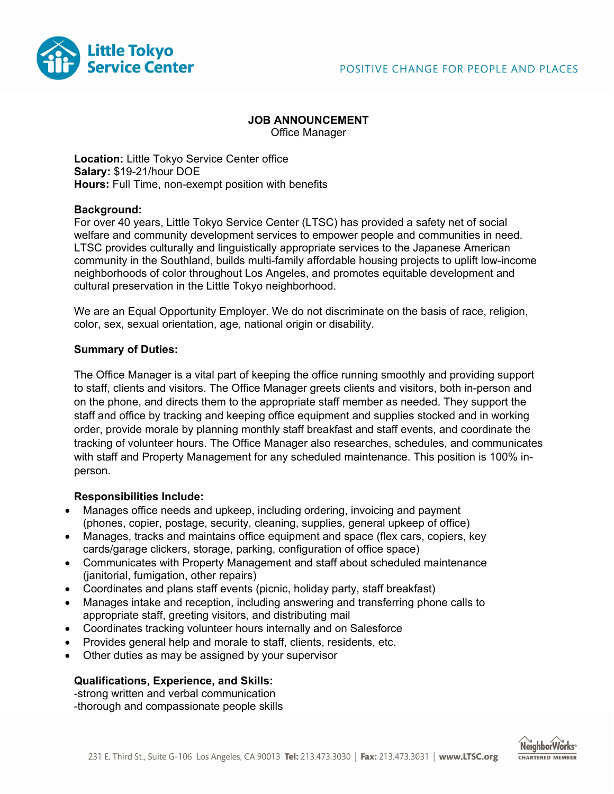

# **JOB ANNOUNCEMENT**

Office Manager

**Location:** Little Tokyo Service Center office **Salary:** \$19-21/hour DOE **Hours:** Full Time, non-exempt position with benefits

# **Background:**

For over 40 years, Little Tokyo Service Center (LTSC) has provided a safety net of social welfare and community development services to empower people and communities in need. LTSC provides culturally and linguistically appropriate services to the Japanese American community in the Southland, builds multi-family affordable housing projects to uplift low-income neighborhoods of color throughout Los Angeles, and promotes equitable development and cultural preservation in the Little Tokyo neighborhood.

We are an Equal Opportunity Employer. We do not discriminate on the basis of race, religion, color, sex, sexual orientation, age, national origin or disability.

# **Summary of Duties:**

The Office Manager is a vital part of keeping the office running smoothly and providing support to staff, clients and visitors. The Office Manager greets clients and visitors, both in-person and on the phone, and directs them to the appropriate staff member as needed. They support the staff and office by tracking and keeping office equipment and supplies stocked and in working order, provide morale by planning monthly staff breakfast and staff events, and coordinate the tracking of volunteer hours. The Office Manager also researches, schedules, and communicates with staff and Property Management for any scheduled maintenance. This position is 100% inperson.

# **Responsibilities Include:**

- Manages office needs and upkeep, including ordering, invoicing and payment (phones, copier, postage, security, cleaning, supplies, general upkeep of office)
- Manages, tracks and maintains office equipment and space (flex cars, copiers, key cards/garage clickers, storage, parking, configuration of office space)
- Communicates with Property Management and staff about scheduled maintenance (janitorial, fumigation, other repairs)
- Coordinates and plans staff events (picnic, holiday party, staff breakfast)
- Manages intake and reception, including answering and transferring phone calls to appropriate staff, greeting visitors, and distributing mail
- Coordinates tracking volunteer hours internally and on Salesforce
- Provides general help and morale to staff, clients, residents, etc.
- Other duties as may be assigned by your supervisor

# **Qualifications, Experience, and Skills:**

-strong written and verbal communication -thorough and compassionate people skills